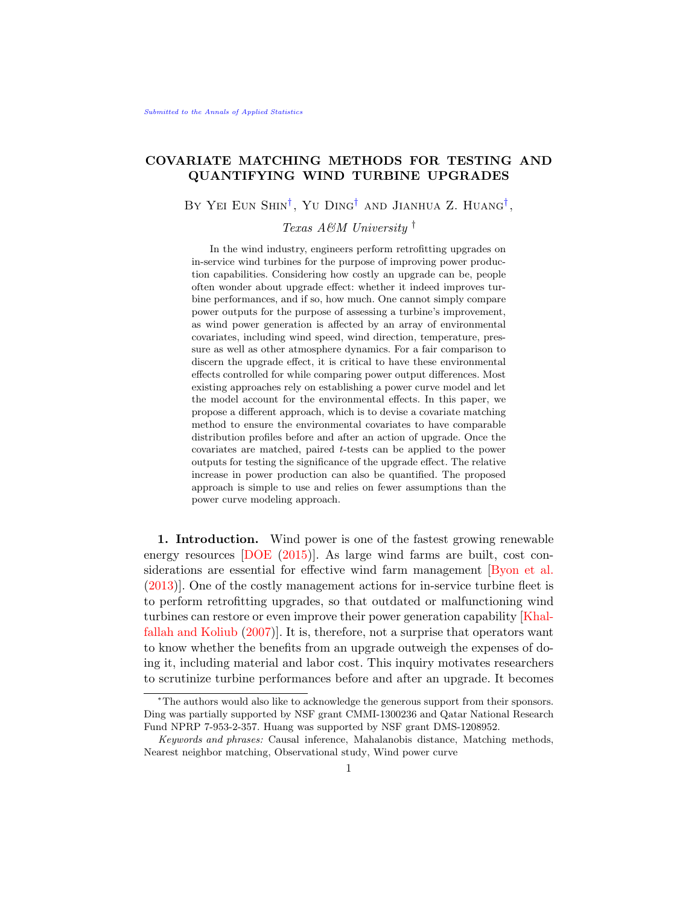# COVARIATE MATCHING METHODS FOR TESTING AND QUANTIFYING WIND TURBINE UPGRADES

BY YEI EUN SHIN<sup>[†](#page-0-0)</sup>, YU DING<sup>†</sup> AND JIANHUA Z. HUANG<sup>†</sup>,

<span id="page-0-0"></span>Texas A&M University †

In the wind industry, engineers perform retrofitting upgrades on in-service wind turbines for the purpose of improving power production capabilities. Considering how costly an upgrade can be, people often wonder about upgrade effect: whether it indeed improves turbine performances, and if so, how much. One cannot simply compare power outputs for the purpose of assessing a turbine's improvement, as wind power generation is affected by an array of environmental covariates, including wind speed, wind direction, temperature, pressure as well as other atmosphere dynamics. For a fair comparison to discern the upgrade effect, it is critical to have these environmental effects controlled for while comparing power output differences. Most existing approaches rely on establishing a power curve model and let the model account for the environmental effects. In this paper, we propose a different approach, which is to devise a covariate matching method to ensure the environmental covariates to have comparable distribution profiles before and after an action of upgrade. Once the covariates are matched, paired  $t$ -tests can be applied to the power outputs for testing the significance of the upgrade effect. The relative increase in power production can also be quantified. The proposed approach is simple to use and relies on fewer assumptions than the power curve modeling approach.

<span id="page-0-1"></span>1. Introduction. Wind power is one of the fastest growing renewable energy resources [\[DOE](#page-22-0) [\(2015\)](#page-22-0)]. As large wind farms are built, cost considerations are essential for effective wind farm management [\[Byon et al.](#page-22-1) [\(2013\)](#page-22-1)]. One of the costly management actions for in-service turbine fleet is to perform retrofitting upgrades, so that outdated or malfunctioning wind turbines can restore or even improve their power generation capability [\[Khal](#page-22-2)[fallah and Koliub](#page-22-2) [\(2007\)](#page-22-2)]. It is, therefore, not a surprise that operators want to know whether the benefits from an upgrade outweigh the expenses of doing it, including material and labor cost. This inquiry motivates researchers to scrutinize turbine performances before and after an upgrade. It becomes

<sup>∗</sup>The authors would also like to acknowledge the generous support from their sponsors. Ding was partially supported by NSF grant CMMI-1300236 and Qatar National Research Fund NPRP 7-953-2-357. Huang was supported by NSF grant DMS-1208952.

Keywords and phrases: Causal inference, Mahalanobis distance, Matching methods, Nearest neighbor matching, Observational study, Wind power curve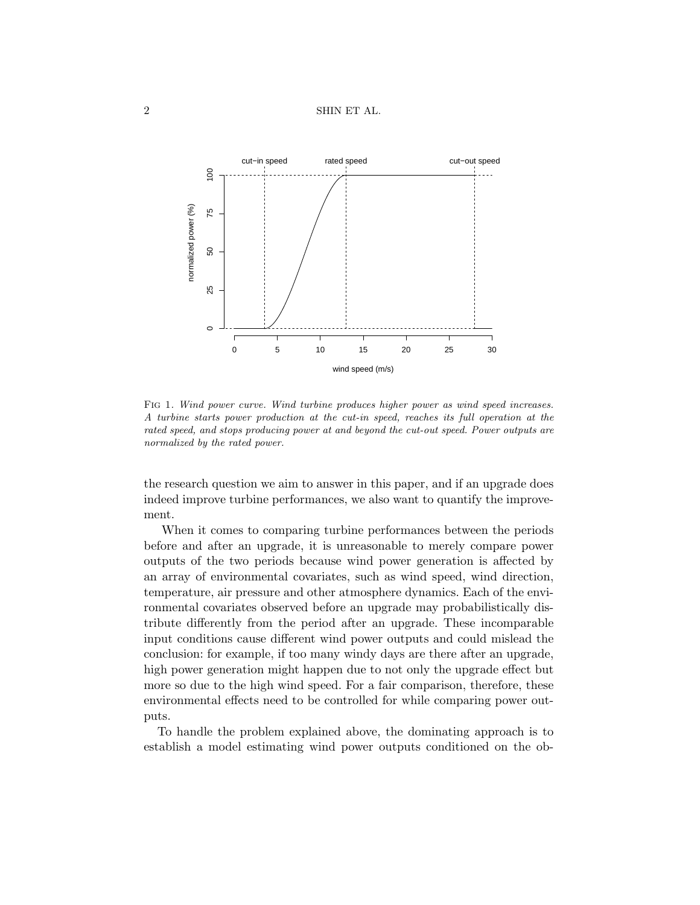

<span id="page-1-0"></span>FIG 1. Wind power curve. Wind turbine produces higher power as wind speed increases. A turbine starts power production at the cut-in speed, reaches its full operation at the rated speed, and stops producing power at and beyond the cut-out speed. Power outputs are normalized by the rated power.

the research question we aim to answer in this paper, and if an upgrade does indeed improve turbine performances, we also want to quantify the improvement.

When it comes to comparing turbine performances between the periods before and after an upgrade, it is unreasonable to merely compare power outputs of the two periods because wind power generation is affected by an array of environmental covariates, such as wind speed, wind direction, temperature, air pressure and other atmosphere dynamics. Each of the environmental covariates observed before an upgrade may probabilistically distribute differently from the period after an upgrade. These incomparable input conditions cause different wind power outputs and could mislead the conclusion: for example, if too many windy days are there after an upgrade, high power generation might happen due to not only the upgrade effect but more so due to the high wind speed. For a fair comparison, therefore, these environmental effects need to be controlled for while comparing power outputs.

To handle the problem explained above, the dominating approach is to establish a model estimating wind power outputs conditioned on the ob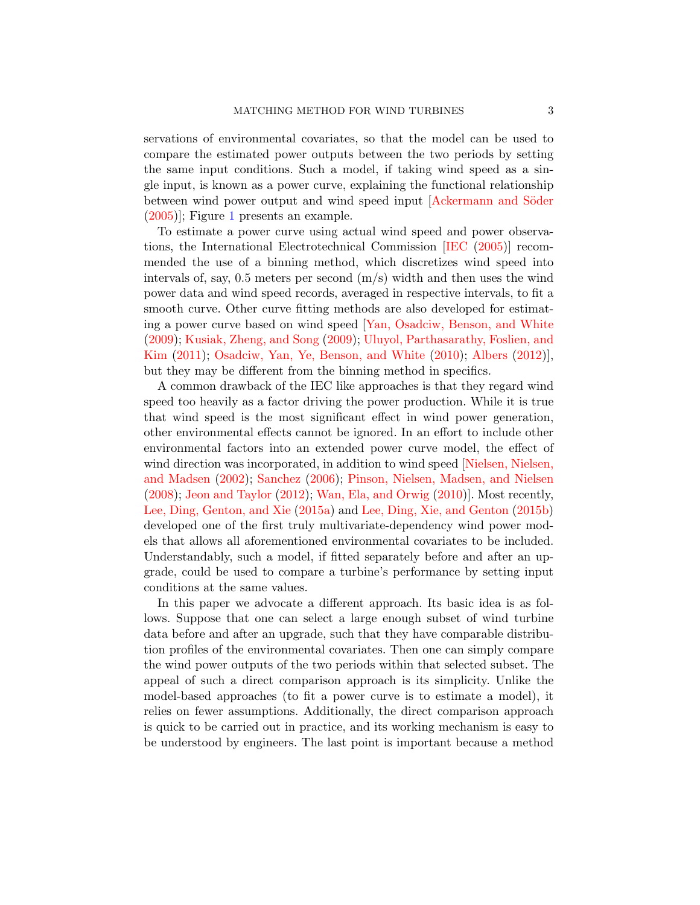servations of environmental covariates, so that the model can be used to compare the estimated power outputs between the two periods by setting the same input conditions. Such a model, if taking wind speed as a single input, is known as a power curve, explaining the functional relationship between wind power output and wind speed input [Ackermann and Söder [\(2005\)](#page-21-0)]; Figure [1](#page-1-0) presents an example.

To estimate a power curve using actual wind speed and power observations, the International Electrotechnical Commission [\[IEC](#page-22-3) [\(2005\)](#page-22-3)] recommended the use of a binning method, which discretizes wind speed into intervals of, say, 0.5 meters per second  $(m/s)$  width and then uses the wind power data and wind speed records, averaged in respective intervals, to fit a smooth curve. Other curve fitting methods are also developed for estimating a power curve based on wind speed [\[Yan, Osadciw, Benson, and White](#page-23-0) [\(2009\)](#page-23-0); [Kusiak, Zheng, and Song](#page-22-4) [\(2009\)](#page-22-4); [Uluyol, Parthasarathy, Foslien, and](#page-23-1) [Kim](#page-23-1) [\(2011\)](#page-23-1); [Osadciw, Yan, Ye, Benson, and White](#page-22-5) [\(2010\)](#page-22-5); [Albers](#page-22-6) [\(2012\)](#page-22-6)], but they may be different from the binning method in specifics.

A common drawback of the IEC like approaches is that they regard wind speed too heavily as a factor driving the power production. While it is true that wind speed is the most significant effect in wind power generation, other environmental effects cannot be ignored. In an effort to include other environmental factors into an extended power curve model, the effect of wind direction was incorporated, in addition to wind speed [\[Nielsen, Nielsen,](#page-22-7) [and Madsen](#page-22-7) [\(2002\)](#page-22-7); [Sanchez](#page-23-2) [\(2006\)](#page-23-2); [Pinson, Nielsen, Madsen, and Nielsen](#page-22-8) [\(2008\)](#page-22-8); [Jeon and Taylor](#page-22-9) [\(2012\)](#page-22-9); [Wan, Ela, and Orwig](#page-23-3) [\(2010\)](#page-23-3)]. Most recently, [Lee, Ding, Genton, and Xie](#page-22-10) [\(2015a\)](#page-22-10) and [Lee, Ding, Xie, and Genton](#page-22-11) [\(2015b\)](#page-22-11) developed one of the first truly multivariate-dependency wind power models that allows all aforementioned environmental covariates to be included. Understandably, such a model, if fitted separately before and after an upgrade, could be used to compare a turbine's performance by setting input conditions at the same values.

In this paper we advocate a different approach. Its basic idea is as follows. Suppose that one can select a large enough subset of wind turbine data before and after an upgrade, such that they have comparable distribution profiles of the environmental covariates. Then one can simply compare the wind power outputs of the two periods within that selected subset. The appeal of such a direct comparison approach is its simplicity. Unlike the model-based approaches (to fit a power curve is to estimate a model), it relies on fewer assumptions. Additionally, the direct comparison approach is quick to be carried out in practice, and its working mechanism is easy to be understood by engineers. The last point is important because a method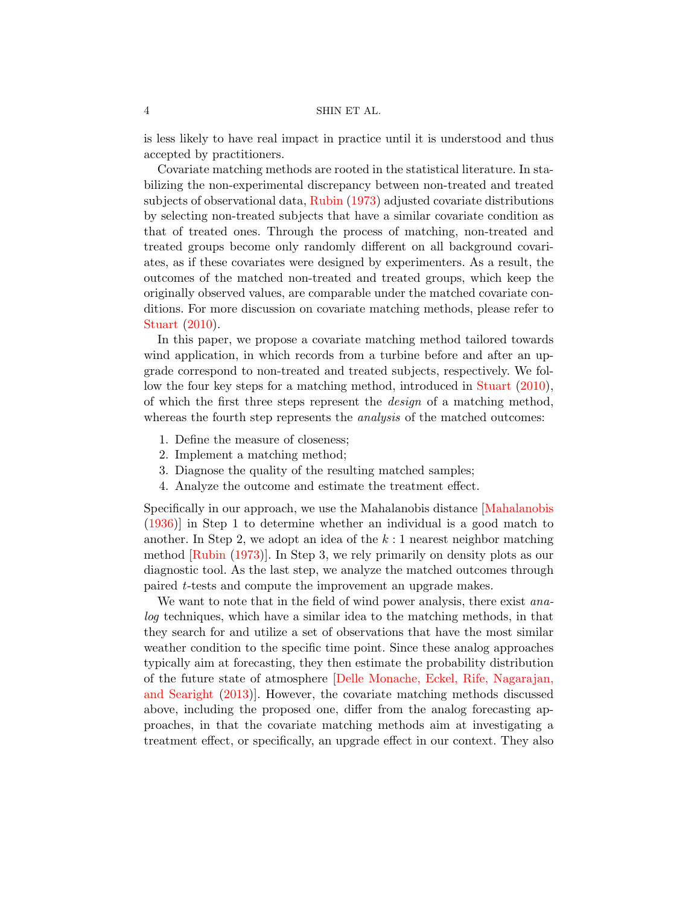is less likely to have real impact in practice until it is understood and thus accepted by practitioners.

Covariate matching methods are rooted in the statistical literature. In stabilizing the non-experimental discrepancy between non-treated and treated subjects of observational data, [Rubin](#page-23-4) [\(1973\)](#page-23-4) adjusted covariate distributions by selecting non-treated subjects that have a similar covariate condition as that of treated ones. Through the process of matching, non-treated and treated groups become only randomly different on all background covariates, as if these covariates were designed by experimenters. As a result, the outcomes of the matched non-treated and treated groups, which keep the originally observed values, are comparable under the matched covariate conditions. For more discussion on covariate matching methods, please refer to [Stuart](#page-23-5) [\(2010\)](#page-23-5).

In this paper, we propose a covariate matching method tailored towards wind application, in which records from a turbine before and after an upgrade correspond to non-treated and treated subjects, respectively. We follow the four key steps for a matching method, introduced in [Stuart](#page-23-5) [\(2010\)](#page-23-5), of which the first three steps represent the design of a matching method, whereas the fourth step represents the *analysis* of the matched outcomes:

- 1. Define the measure of closeness;
- 2. Implement a matching method;
- 3. Diagnose the quality of the resulting matched samples;
- 4. Analyze the outcome and estimate the treatment effect.

Specifically in our approach, we use the Mahalanobis distance [\[Mahalanobis](#page-22-12) [\(1936\)](#page-22-12)] in Step 1 to determine whether an individual is a good match to another. In Step 2, we adopt an idea of the  $k:1$  nearest neighbor matching method [\[Rubin](#page-23-4) [\(1973\)](#page-23-4)]. In Step 3, we rely primarily on density plots as our diagnostic tool. As the last step, we analyze the matched outcomes through paired t-tests and compute the improvement an upgrade makes.

We want to note that in the field of wind power analysis, there exist *ana*log techniques, which have a similar idea to the matching methods, in that they search for and utilize a set of observations that have the most similar weather condition to the specific time point. Since these analog approaches typically aim at forecasting, they then estimate the probability distribution of the future state of atmosphere [\[Delle Monache, Eckel, Rife, Nagarajan,](#page-22-13) [and Searight](#page-22-13) [\(2013\)](#page-22-13)]. However, the covariate matching methods discussed above, including the proposed one, differ from the analog forecasting approaches, in that the covariate matching methods aim at investigating a treatment effect, or specifically, an upgrade effect in our context. They also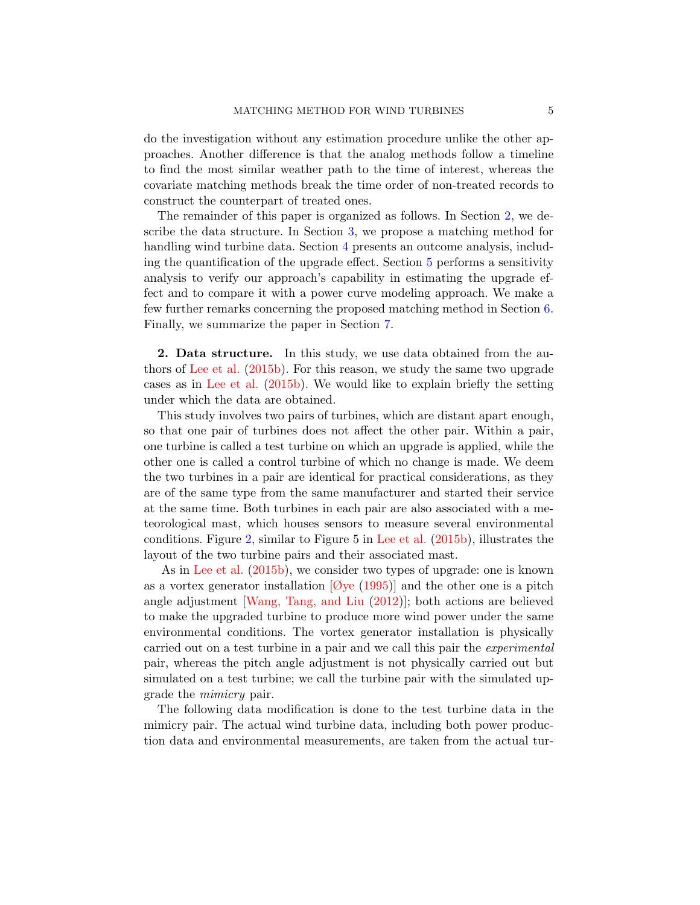do the investigation without any estimation procedure unlike the other approaches. Another difference is that the analog methods follow a timeline to find the most similar weather path to the time of interest, whereas the covariate matching methods break the time order of non-treated records to construct the counterpart of treated ones.

The remainder of this paper is organized as follows. In Section [2,](#page-4-0) we describe the data structure. In Section [3,](#page-7-0) we propose a matching method for handling wind turbine data. Section [4](#page-13-0) presents an outcome analysis, including the quantification of the upgrade effect. Section [5](#page-16-0) performs a sensitivity analysis to verify our approach's capability in estimating the upgrade effect and to compare it with a power curve modeling approach. We make a few further remarks concerning the proposed matching method in Section [6.](#page-19-0) Finally, we summarize the paper in Section [7.](#page-21-1)

<span id="page-4-0"></span>2. Data structure. In this study, we use data obtained from the authors of [Lee et al.](#page-22-11) [\(2015b\)](#page-22-11). For this reason, we study the same two upgrade cases as in [Lee et al.](#page-22-11) [\(2015b\)](#page-22-11). We would like to explain briefly the setting under which the data are obtained.

This study involves two pairs of turbines, which are distant apart enough, so that one pair of turbines does not affect the other pair. Within a pair, one turbine is called a test turbine on which an upgrade is applied, while the other one is called a control turbine of which no change is made. We deem the two turbines in a pair are identical for practical considerations, as they are of the same type from the same manufacturer and started their service at the same time. Both turbines in each pair are also associated with a meteorological mast, which houses sensors to measure several environmental conditions. Figure [2,](#page-5-0) similar to Figure 5 in [Lee et al.](#page-22-11) [\(2015b\)](#page-22-11), illustrates the layout of the two turbine pairs and their associated mast.

As in [Lee et al.](#page-22-11) [\(2015b\)](#page-22-11), we consider two types of upgrade: one is known as a vortex generator installation  $[Øye (1995)]$  $[Øye (1995)]$  $[Øye (1995)]$  $[Øye (1995)]$  and the other one is a pitch angle adjustment [\[Wang, Tang, and Liu](#page-23-6) [\(2012\)](#page-23-6)]; both actions are believed to make the upgraded turbine to produce more wind power under the same environmental conditions. The vortex generator installation is physically carried out on a test turbine in a pair and we call this pair the experimental pair, whereas the pitch angle adjustment is not physically carried out but simulated on a test turbine; we call the turbine pair with the simulated upgrade the mimicry pair.

The following data modification is done to the test turbine data in the mimicry pair. The actual wind turbine data, including both power production data and environmental measurements, are taken from the actual tur-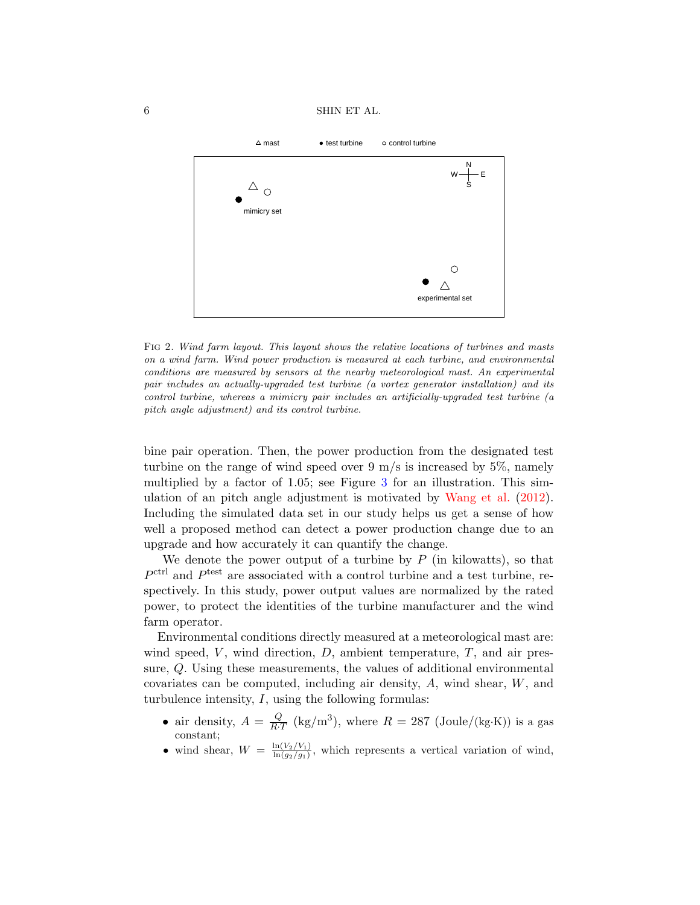6 SHIN ET AL.



<span id="page-5-0"></span>Fig 2. Wind farm layout. This layout shows the relative locations of turbines and masts on a wind farm. Wind power production is measured at each turbine, and environmental conditions are measured by sensors at the nearby meteorological mast. An experimental pair includes an actually-upgraded test turbine (a vortex generator installation) and its control turbine, whereas a mimicry pair includes an artificially-upgraded test turbine (a pitch angle adjustment) and its control turbine.

bine pair operation. Then, the power production from the designated test turbine on the range of wind speed over  $9 \text{ m/s}$  is increased by  $5\%$ , namely multiplied by a factor of 1.05; see Figure [3](#page-6-0) for an illustration. This simulation of an pitch angle adjustment is motivated by [Wang et al.](#page-23-6) [\(2012\)](#page-23-6). Including the simulated data set in our study helps us get a sense of how well a proposed method can detect a power production change due to an upgrade and how accurately it can quantify the change.

We denote the power output of a turbine by  $P$  (in kilowatts), so that  $P<sup>ctrl</sup>$  and  $P<sup>test</sup>$  are associated with a control turbine and a test turbine, respectively. In this study, power output values are normalized by the rated power, to protect the identities of the turbine manufacturer and the wind farm operator.

Environmental conditions directly measured at a meteorological mast are: wind speed,  $V$ , wind direction,  $D$ , ambient temperature,  $T$ , and air pressure, Q. Using these measurements, the values of additional environmental covariates can be computed, including air density, A, wind shear, W, and turbulence intensity,  $I$ , using the following formulas:

- air density,  $A = \frac{Q}{R}$  $\frac{Q}{R \cdot T}$  (kg/m<sup>3</sup>), where  $R = 287$  (Joule/(kg·K)) is a gas constant;
- wind shear,  $W = \frac{\ln(V_2/V_1)}{\ln(q_2/q_1)}$  $\frac{\ln(V_2/V_1)}{\ln(g_2/g_1)}$ , which represents a vertical variation of wind,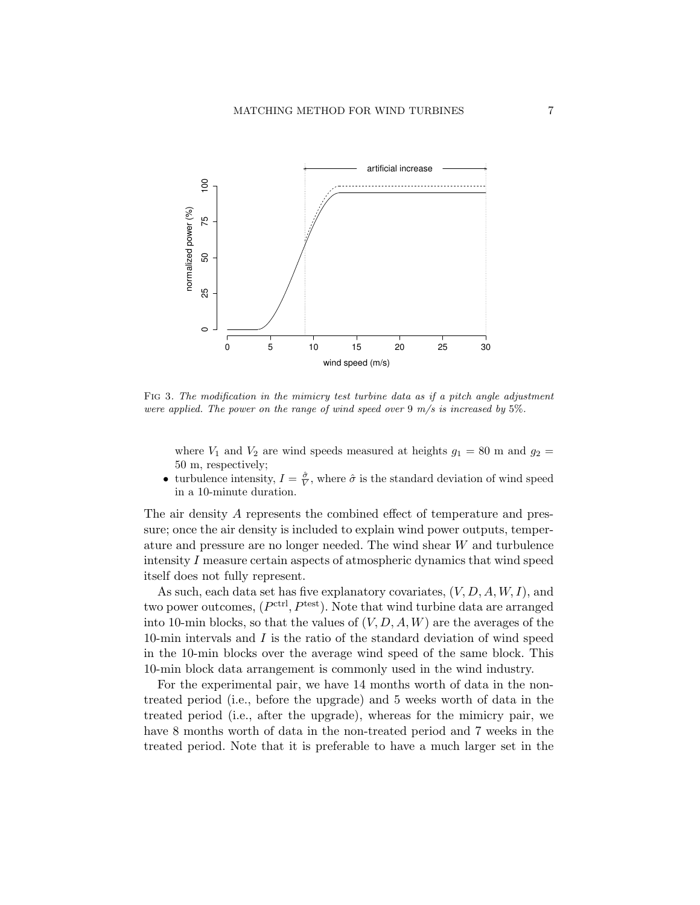

<span id="page-6-0"></span>Fig 3. The modification in the mimicry test turbine data as if a pitch angle adjustment were applied. The power on the range of wind speed over  $9 \, \text{m/s}$  is increased by  $5\%$ .

where  $V_1$  and  $V_2$  are wind speeds measured at heights  $g_1 = 80$  m and  $g_2 =$ 50 m, respectively;

• turbulence intensity,  $I = \frac{\hat{\sigma}}{V}$ , where  $\hat{\sigma}$  is the standard deviation of wind speed in a 10-minute duration.

The air density A represents the combined effect of temperature and pressure; once the air density is included to explain wind power outputs, temperature and pressure are no longer needed. The wind shear W and turbulence intensity I measure certain aspects of atmospheric dynamics that wind speed itself does not fully represent.

As such, each data set has five explanatory covariates,  $(V, D, A, W, I)$ , and two power outcomes,  $(P^{\text{ctrl}}, P^{\text{test}})$ . Note that wind turbine data are arranged into 10-min blocks, so that the values of  $(V, D, A, W)$  are the averages of the 10-min intervals and I is the ratio of the standard deviation of wind speed in the 10-min blocks over the average wind speed of the same block. This 10-min block data arrangement is commonly used in the wind industry.

For the experimental pair, we have 14 months worth of data in the nontreated period (i.e., before the upgrade) and 5 weeks worth of data in the treated period (i.e., after the upgrade), whereas for the mimicry pair, we have 8 months worth of data in the non-treated period and 7 weeks in the treated period. Note that it is preferable to have a much larger set in the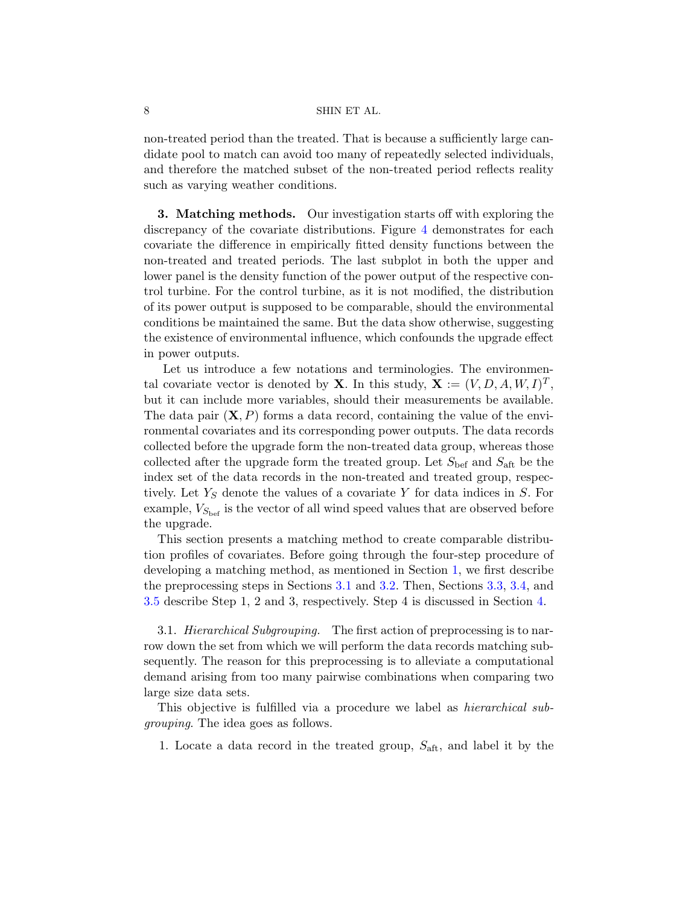non-treated period than the treated. That is because a sufficiently large candidate pool to match can avoid too many of repeatedly selected individuals, and therefore the matched subset of the non-treated period reflects reality such as varying weather conditions.

<span id="page-7-0"></span>3. Matching methods. Our investigation starts off with exploring the discrepancy of the covariate distributions. Figure [4](#page-8-0) demonstrates for each covariate the difference in empirically fitted density functions between the non-treated and treated periods. The last subplot in both the upper and lower panel is the density function of the power output of the respective control turbine. For the control turbine, as it is not modified, the distribution of its power output is supposed to be comparable, should the environmental conditions be maintained the same. But the data show otherwise, suggesting the existence of environmental influence, which confounds the upgrade effect in power outputs.

Let us introduce a few notations and terminologies. The environmental covariate vector is denoted by **X**. In this study,  $\mathbf{X} := (V, D, A, W, I)^T$ , but it can include more variables, should their measurements be available. The data pair  $(X, P)$  forms a data record, containing the value of the environmental covariates and its corresponding power outputs. The data records collected before the upgrade form the non-treated data group, whereas those collected after the upgrade form the treated group. Let  $S_{\text{bef}}$  and  $S_{\text{aff}}$  be the index set of the data records in the non-treated and treated group, respectively. Let  $Y<sub>S</sub>$  denote the values of a covariate Y for data indices in S. For example,  $V_{S_{\text{bef}}}$  is the vector of all wind speed values that are observed before the upgrade.

This section presents a matching method to create comparable distribution profiles of covariates. Before going through the four-step procedure of developing a matching method, as mentioned in Section [1,](#page-0-1) we first describe the preprocessing steps in Sections [3.1](#page-7-1) and [3.2.](#page-10-0) Then, Sections [3.3,](#page-10-1) [3.4,](#page-11-0) and [3.5](#page-12-0) describe Step 1, 2 and 3, respectively. Step 4 is discussed in Section [4.](#page-13-0)

<span id="page-7-1"></span>3.1. *Hierarchical Subgrouping.* The first action of preprocessing is to narrow down the set from which we will perform the data records matching subsequently. The reason for this preprocessing is to alleviate a computational demand arising from too many pairwise combinations when comparing two large size data sets.

This objective is fulfilled via a procedure we label as hierarchical subgrouping. The idea goes as follows.

1. Locate a data record in the treated group,  $S_{\text{aft}}$ , and label it by the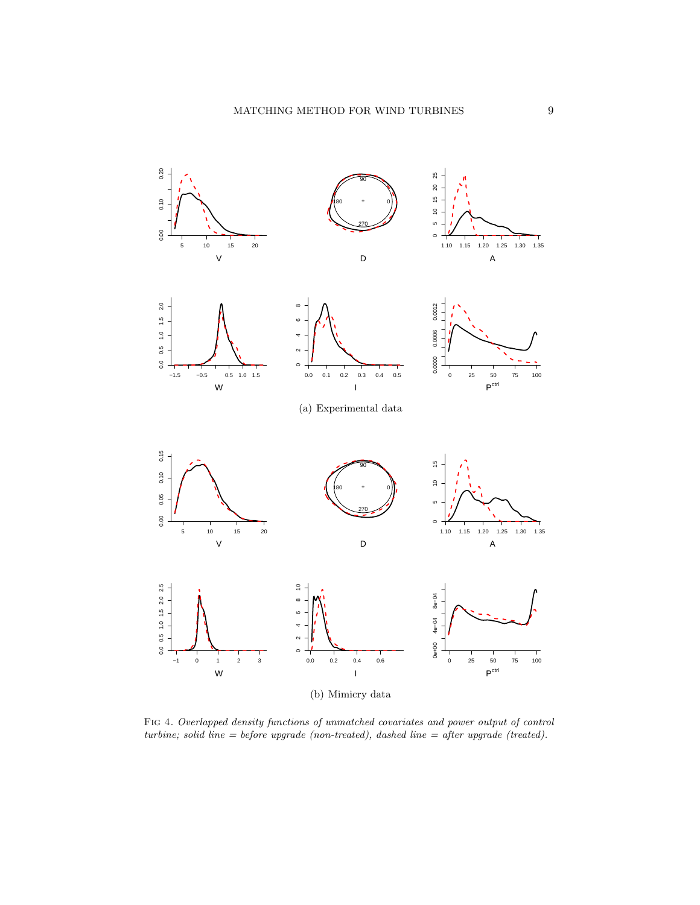

<span id="page-8-0"></span>Fig 4. Overlapped density functions of unmatched covariates and power output of control turbine; solid line = before upgrade (non-treated), dashed line = after upgrade (treated).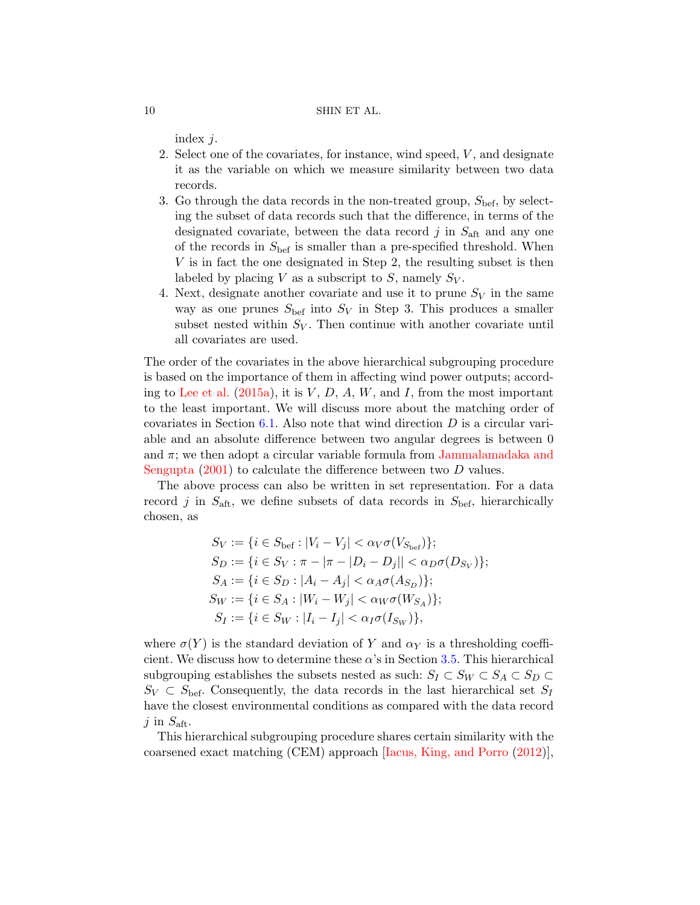index j.

- 2. Select one of the covariates, for instance, wind speed, V , and designate it as the variable on which we measure similarity between two data records.
- 3. Go through the data records in the non-treated group,  $S_{\text{bef}}$ , by selecting the subset of data records such that the difference, in terms of the designated covariate, between the data record  $j$  in  $S_{\text{aft}}$  and any one of the records in  $S_{\text{bef}}$  is smaller than a pre-specified threshold. When V is in fact the one designated in Step 2, the resulting subset is then labeled by placing V as a subscript to S, namely  $S_V$ .
- 4. Next, designate another covariate and use it to prune  $S_V$  in the same way as one prunes  $S_{\text{bef}}$  into  $S_V$  in Step 3. This produces a smaller subset nested within  $S_V$ . Then continue with another covariate until all covariates are used.

The order of the covariates in the above hierarchical subgrouping procedure is based on the importance of them in affecting wind power outputs; accord-ing to [Lee et al.](#page-22-10) [\(2015a\)](#page-22-10), it is  $V, D, A, W$ , and I, from the most important to the least important. We will discuss more about the matching order of covariates in Section [6.1.](#page-19-1) Also note that wind direction  $D$  is a circular variable and an absolute difference between two angular degrees is between 0 and  $\pi$ ; we then adopt a circular variable formula from [Jammalamadaka and](#page-22-15) [Sengupta](#page-22-15) [\(2001\)](#page-22-15) to calculate the difference between two D values.

The above process can also be written in set representation. For a data record j in  $S_{\text{aff}}$ , we define subsets of data records in  $S_{\text{bef}}$ , hierarchically chosen, as

$$
S_V := \{ i \in S_{\text{bef}} : |V_i - V_j| < \alpha_V \sigma(V_{S_{\text{bef}}}) \};
$$
\n
$$
S_D := \{ i \in S_V : \pi - |\pi - |D_i - D_j|| < \alpha_D \sigma(D_{S_V}) \};
$$
\n
$$
S_A := \{ i \in S_D : |A_i - A_j| < \alpha_A \sigma(A_{S_D}) \};
$$
\n
$$
S_W := \{ i \in S_A : |W_i - W_j| < \alpha_W \sigma(W_{S_A}) \};
$$
\n
$$
S_I := \{ i \in S_W : |I_i - I_j| < \alpha_I \sigma(I_{S_W}) \},
$$

where  $\sigma(Y)$  is the standard deviation of Y and  $\alpha_Y$  is a thresholding coefficient. We discuss how to determine these  $\alpha$ 's in Section [3.5.](#page-12-0) This hierarchical subgrouping establishes the subsets nested as such:  $S_I \subset S_W \subset S_A \subset S_D \subset$  $S_V \subset S_{\text{bef}}$ . Consequently, the data records in the last hierarchical set  $S_I$ have the closest environmental conditions as compared with the data record j in  $S_{\text{aft}}$ .

This hierarchical subgrouping procedure shares certain similarity with the coarsened exact matching (CEM) approach [\[Iacus, King, and Porro](#page-22-16) [\(2012\)](#page-22-16)],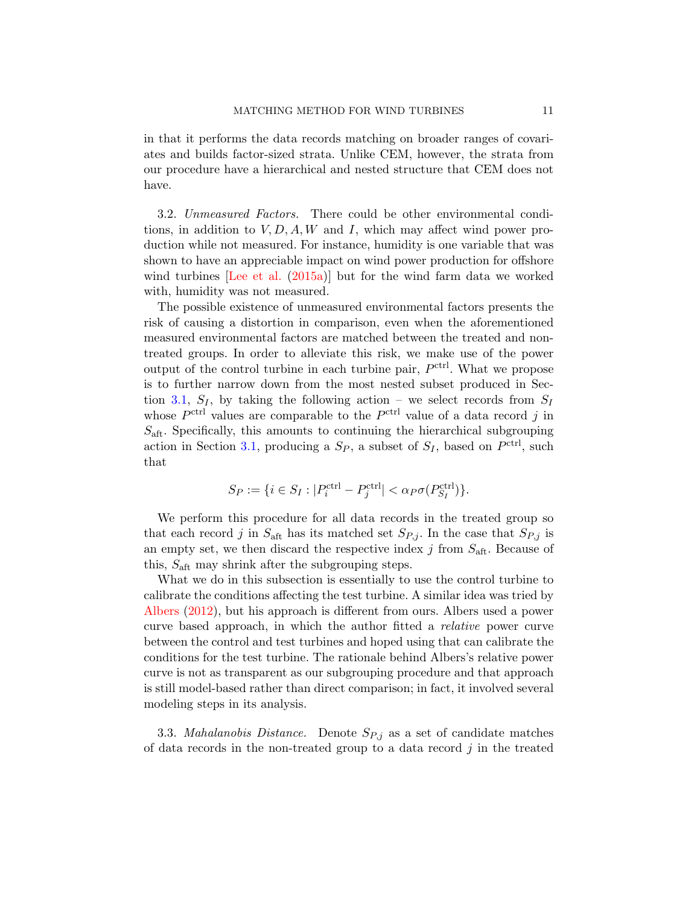in that it performs the data records matching on broader ranges of covariates and builds factor-sized strata. Unlike CEM, however, the strata from our procedure have a hierarchical and nested structure that CEM does not have.

<span id="page-10-0"></span>3.2. Unmeasured Factors. There could be other environmental conditions, in addition to  $V, D, A, W$  and I, which may affect wind power production while not measured. For instance, humidity is one variable that was shown to have an appreciable impact on wind power production for offshore wind turbines [\[Lee et al.](#page-22-10) [\(2015a\)](#page-22-10)] but for the wind farm data we worked with, humidity was not measured.

The possible existence of unmeasured environmental factors presents the risk of causing a distortion in comparison, even when the aforementioned measured environmental factors are matched between the treated and nontreated groups. In order to alleviate this risk, we make use of the power output of the control turbine in each turbine pair,  $P<sup>ctrl</sup>$ . What we propose is to further narrow down from the most nested subset produced in Sec-tion [3.1,](#page-7-1)  $S_I$ , by taking the following action – we select records from  $S_I$ whose  $P^{\text{ctrl}}$  values are comparable to the  $P^{\text{ctrl}}$  value of a data record j in  $S_{\text{aft}}$ . Specifically, this amounts to continuing the hierarchical subgrouping action in Section [3.1,](#page-7-1) producing a  $S_P$ , a subset of  $S_I$ , based on  $P<sup>ctrl</sup>$ , such that

$$
S_P:=\{i\in S_I:|P_i^{\operatorname{ctrl}}-P_j^{\operatorname{ctrl}}|<\alpha_P\sigma(P_{S_I}^{\operatorname{ctrl}})\}.
$$

We perform this procedure for all data records in the treated group so that each record j in  $S_{\text{aft}}$  has its matched set  $S_{P,j}$ . In the case that  $S_{P,j}$  is an empty set, we then discard the respective index  $j$  from  $S_{\text{aft}}$ . Because of this,  $S_{\text{aft}}$  may shrink after the subgrouping steps.

What we do in this subsection is essentially to use the control turbine to calibrate the conditions affecting the test turbine. A similar idea was tried by [Albers](#page-22-6) [\(2012\)](#page-22-6), but his approach is different from ours. Albers used a power curve based approach, in which the author fitted a relative power curve between the control and test turbines and hoped using that can calibrate the conditions for the test turbine. The rationale behind Albers's relative power curve is not as transparent as our subgrouping procedure and that approach is still model-based rather than direct comparison; in fact, it involved several modeling steps in its analysis.

<span id="page-10-1"></span>3.3. Mahalanobis Distance. Denote  $S_{P,j}$  as a set of candidate matches of data records in the non-treated group to a data record  $j$  in the treated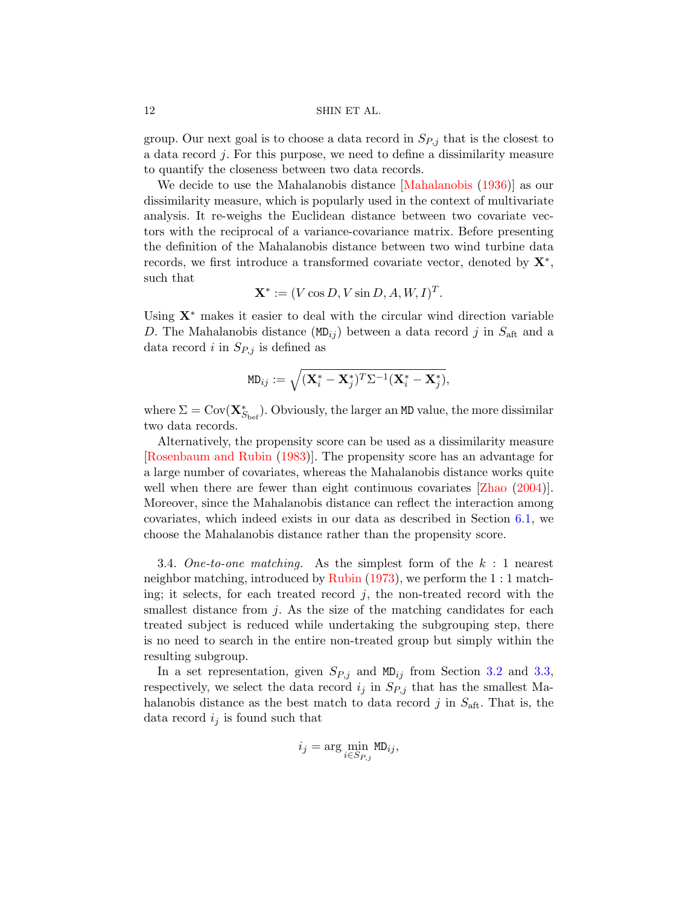group. Our next goal is to choose a data record in  $S_{P,j}$  that is the closest to a data record j. For this purpose, we need to define a dissimilarity measure to quantify the closeness between two data records.

We decide to use the Mahalanobis distance [\[Mahalanobis](#page-22-12) [\(1936\)](#page-22-12)] as our dissimilarity measure, which is popularly used in the context of multivariate analysis. It re-weighs the Euclidean distance between two covariate vectors with the reciprocal of a variance-covariance matrix. Before presenting the definition of the Mahalanobis distance between two wind turbine data records, we first introduce a transformed covariate vector, denoted by  $\mathbf{X}^*$ , such that

$$
\mathbf{X}^* := (V \cos D, V \sin D, A, W, I)^T.
$$

Using  $X^*$  makes it easier to deal with the circular wind direction variable D. The Mahalanobis distance  $(MD_{ij})$  between a data record j in  $S_{\text{aft}}$  and a data record i in  $S_{P,j}$  is defined as

$$
\texttt{MD}_{ij} := \sqrt{(\mathbf{X}_i^* - \mathbf{X}_j^*)^T \Sigma^{-1} (\mathbf{X}_i^* - \mathbf{X}_j^*)},
$$

where  $\Sigma = \text{Cov}(\mathbf{X}_{S_{\text{bef}}}^*)$ . Obviously, the larger an MD value, the more dissimilar two data records.

Alternatively, the propensity score can be used as a dissimilarity measure [\[Rosenbaum and Rubin](#page-22-17) [\(1983\)](#page-22-17)]. The propensity score has an advantage for a large number of covariates, whereas the Mahalanobis distance works quite well when there are fewer than eight continuous covariates [\[Zhao](#page-23-7)  $(2004)$ ]. Moreover, since the Mahalanobis distance can reflect the interaction among covariates, which indeed exists in our data as described in Section [6.1,](#page-19-1) we choose the Mahalanobis distance rather than the propensity score.

<span id="page-11-0"></span>3.4. One-to-one matching. As the simplest form of the  $k : 1$  nearest neighbor matching, introduced by [Rubin](#page-23-4) [\(1973\)](#page-23-4), we perform the 1 : 1 matching; it selects, for each treated record  $j$ , the non-treated record with the smallest distance from  $j$ . As the size of the matching candidates for each treated subject is reduced while undertaking the subgrouping step, there is no need to search in the entire non-treated group but simply within the resulting subgroup.

In a set representation, given  $S_{P,j}$  and MD<sub>ij</sub> from Section [3.2](#page-10-0) and [3.3,](#page-10-1) respectively, we select the data record  $i_j$  in  $S_{P,j}$  that has the smallest Mahalanobis distance as the best match to data record  $j$  in  $S_{\text{aff}}$ . That is, the data record  $i_j$  is found such that

$$
i_j = \arg\min_{i \in Sp_j} \text{MD}_{ij},
$$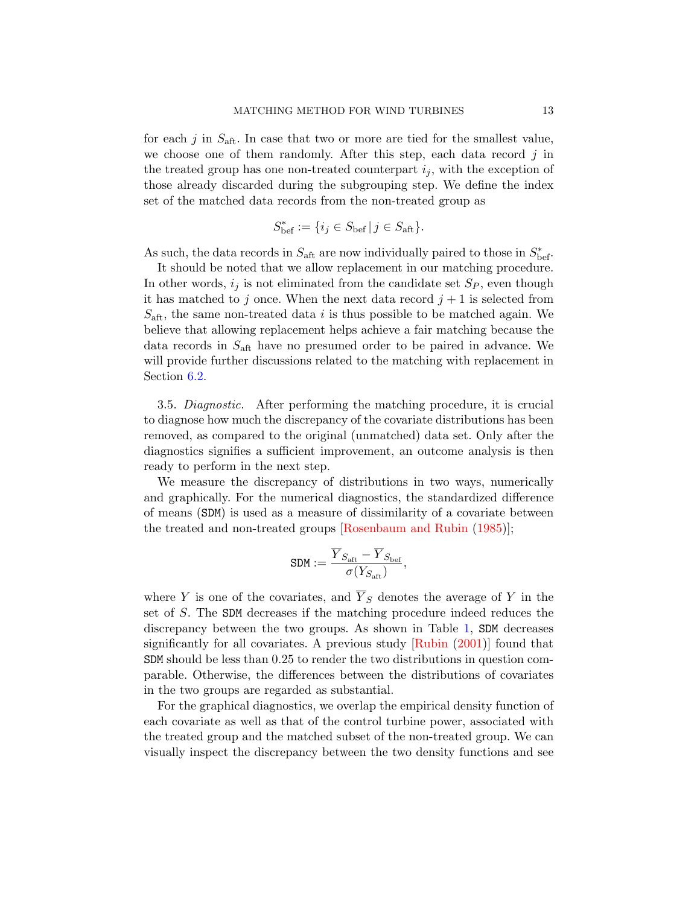for each j in  $S_{\text{aft}}$ . In case that two or more are tied for the smallest value, we choose one of them randomly. After this step, each data record  $j$  in the treated group has one non-treated counterpart  $i_j$ , with the exception of those already discarded during the subgrouping step. We define the index set of the matched data records from the non-treated group as

$$
S_{\text{bef}}^* := \{ i_j \in S_{\text{bef}} \mid j \in S_{\text{aft}} \}.
$$

As such, the data records in  $S_{\text{aff}}$  are now individually paired to those in  $S_{\text{bef}}^*$ .

It should be noted that we allow replacement in our matching procedure. In other words,  $i_j$  is not eliminated from the candidate set  $S_p$ , even though it has matched to j once. When the next data record  $j + 1$  is selected from  $S_{\text{aft}}$ , the same non-treated data i is thus possible to be matched again. We believe that allowing replacement helps achieve a fair matching because the data records in  $S_{\text{aft}}$  have no presumed order to be paired in advance. We will provide further discussions related to the matching with replacement in Section [6.2.](#page-20-0)

<span id="page-12-0"></span>3.5. Diagnostic. After performing the matching procedure, it is crucial to diagnose how much the discrepancy of the covariate distributions has been removed, as compared to the original (unmatched) data set. Only after the diagnostics signifies a sufficient improvement, an outcome analysis is then ready to perform in the next step.

We measure the discrepancy of distributions in two ways, numerically and graphically. For the numerical diagnostics, the standardized difference of means (SDM) is used as a measure of dissimilarity of a covariate between the treated and non-treated groups [\[Rosenbaum and Rubin](#page-23-8) [\(1985\)](#page-23-8)];

$$
\texttt{SDM} := \frac{\overline{Y}_{S_{\text{aft}}} - \overline{Y}_{S_{\text{bef}}}}{\sigma(Y_{S_{\text{aft}}})},
$$

where Y is one of the covariates, and  $\overline{Y}_S$  denotes the average of Y in the set of S. The SDM decreases if the matching procedure indeed reduces the discrepancy between the two groups. As shown in Table [1,](#page-13-1) SDM decreases significantly for all covariates. A previous study [\[Rubin](#page-23-9) [\(2001\)](#page-23-9)] found that SDM should be less than 0.25 to render the two distributions in question comparable. Otherwise, the differences between the distributions of covariates in the two groups are regarded as substantial.

For the graphical diagnostics, we overlap the empirical density function of each covariate as well as that of the control turbine power, associated with the treated group and the matched subset of the non-treated group. We can visually inspect the discrepancy between the two density functions and see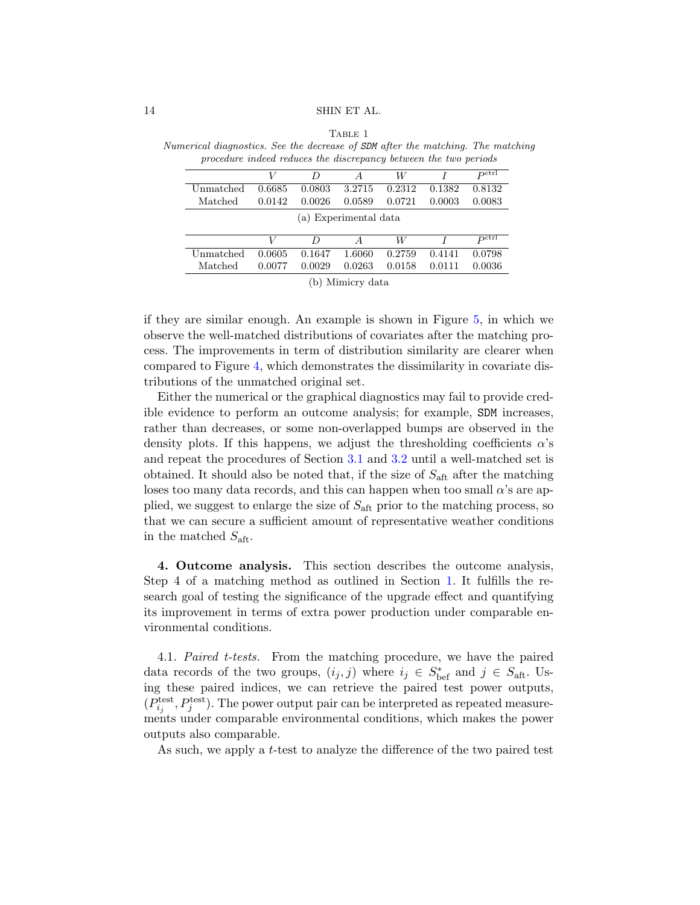| nerical diagnostics. See the decrease of SDM after the matching. The match<br>procedure indeed reduces the discrepancy between the two periods |        |        |                  |        |        |                     |  |  |
|------------------------------------------------------------------------------------------------------------------------------------------------|--------|--------|------------------|--------|--------|---------------------|--|--|
|                                                                                                                                                | V      | D      | $\overline{A}$   | W      |        | $P^{\rm ctrl}$      |  |  |
| Unmatched                                                                                                                                      | 0.6685 | 0.0803 | 3.2715           | 0.2312 | 0.1382 | 0.8132              |  |  |
| Matched                                                                                                                                        | 0.0142 | 0.0026 | 0.0589           | 0.0721 | 0.0003 | 0.0083              |  |  |
| (a) Experimental data                                                                                                                          |        |        |                  |        |        |                     |  |  |
|                                                                                                                                                | V      | D      | $\boldsymbol{A}$ | W      |        | $P^{\mathrm{ctrl}}$ |  |  |
| Unmatched                                                                                                                                      | 0.0605 | 0.1647 | 1.6060           | 0.2759 | 0.4141 | 0.0798              |  |  |
| Matched                                                                                                                                        | 0.0077 | 0.0029 | 0.0263           | 0.0158 | 0.0111 | 0.0036              |  |  |

<span id="page-13-1"></span>TABLE 1 Numerical diagnostics. See the decrease of SDM after the matching. The matching

(b) Mimicry data

if they are similar enough. An example is shown in Figure [5,](#page-14-0) in which we observe the well-matched distributions of covariates after the matching process. The improvements in term of distribution similarity are clearer when compared to Figure [4,](#page-8-0) which demonstrates the dissimilarity in covariate distributions of the unmatched original set.

Either the numerical or the graphical diagnostics may fail to provide credible evidence to perform an outcome analysis; for example, SDM increases, rather than decreases, or some non-overlapped bumps are observed in the density plots. If this happens, we adjust the thresholding coefficients  $\alpha$ 's and repeat the procedures of Section [3.1](#page-7-1) and [3.2](#page-10-0) until a well-matched set is obtained. It should also be noted that, if the size of  $S_{\text{aft}}$  after the matching loses too many data records, and this can happen when too small  $\alpha$ 's are applied, we suggest to enlarge the size of  $S_{\text{aff}}$  prior to the matching process, so that we can secure a sufficient amount of representative weather conditions in the matched  $S_{\text{aft}}$ .

<span id="page-13-0"></span>4. Outcome analysis. This section describes the outcome analysis, Step 4 of a matching method as outlined in Section [1.](#page-0-1) It fulfills the research goal of testing the significance of the upgrade effect and quantifying its improvement in terms of extra power production under comparable environmental conditions.

4.1. Paired t-tests. From the matching procedure, we have the paired data records of the two groups,  $(i_j, j)$  where  $i_j \in S_{\text{bef}}^*$  and  $j \in S_{\text{aff}}$ . Using these paired indices, we can retrieve the paired test power outputs,  $(P_{i_j}^{\text{test}}, P_j^{\text{test}})$ . The power output pair can be interpreted as repeated measurements under comparable environmental conditions, which makes the power outputs also comparable.

As such, we apply a t-test to analyze the difference of the two paired test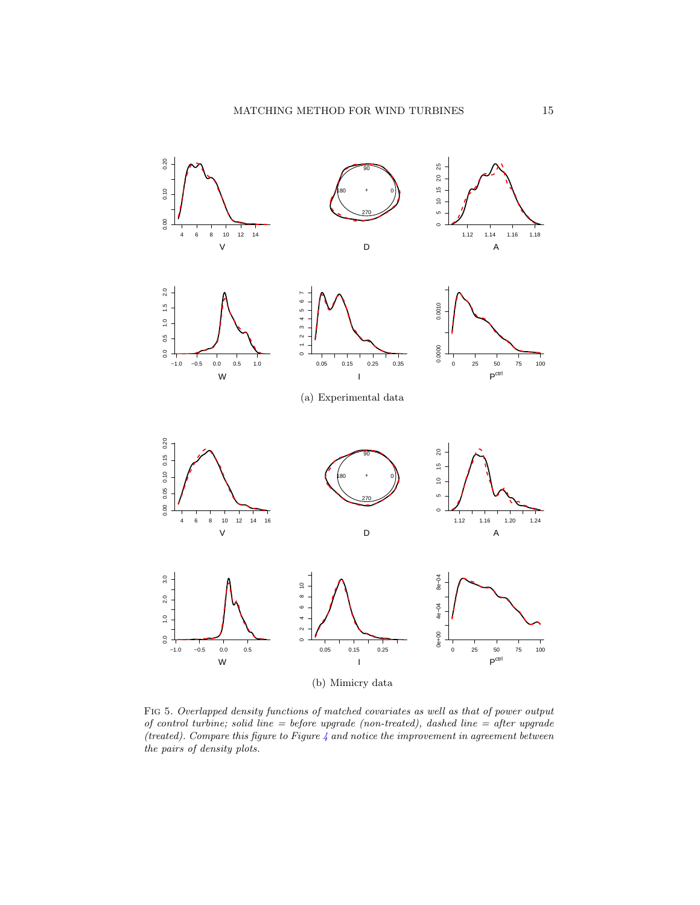

<span id="page-14-0"></span>Fig 5. Overlapped density functions of matched covariates as well as that of power output of control turbine; solid line = before upgrade (non-treated), dashed line = after upgrade (treated). Compare this figure to Figure  $4$  and notice the improvement in agreement between the pairs of density plots.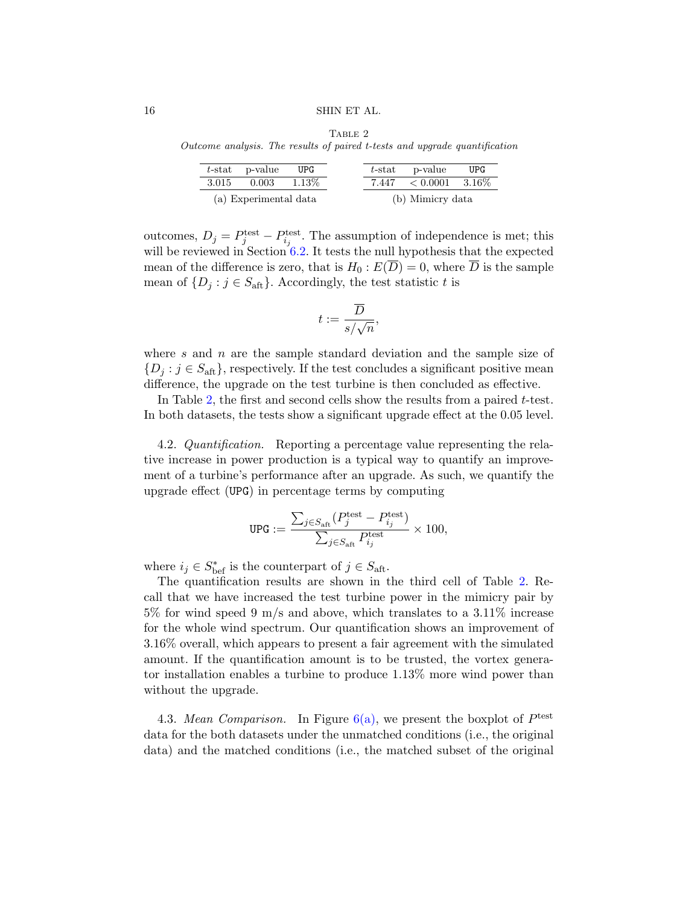<span id="page-15-0"></span>Outcome analysis. The results of paired t-tests and upgrade quantification

|                       | $t$ -stat p-value | UPG.   |                  | $t$ -stat p-value                   | UPG. |
|-----------------------|-------------------|--------|------------------|-------------------------------------|------|
| 3.015                 | 0.003             | 1.13\% |                  | $7.447 \quad < 0.0001 \quad 3.16\%$ |      |
| (a) Experimental data |                   |        | (b) Mimicry data |                                     |      |

outcomes,  $D_j = P_j^{\text{test}} - P_{i_j}^{\text{test}}$ . The assumption of independence is met; this will be reviewed in Section  $6.2$ . It tests the null hypothesis that the expected mean of the difference is zero, that is  $H_0 : E(\overline{D}) = 0$ , where  $\overline{D}$  is the sample mean of  $\{D_i : j \in S_{\text{aff}}\}\$ . Accordingly, the test statistic t is

$$
t:=\frac{\overline{D}}{s/\sqrt{n}},
$$

where  $s$  and  $n$  are the sample standard deviation and the sample size of  ${D_i : j \in S_{\text{aff}}},$  respectively. If the test concludes a significant positive mean difference, the upgrade on the test turbine is then concluded as effective.

In Table [2,](#page-15-0) the first and second cells show the results from a paired t-test. In both datasets, the tests show a significant upgrade effect at the 0.05 level.

<span id="page-15-1"></span>4.2. Quantification. Reporting a percentage value representing the relative increase in power production is a typical way to quantify an improvement of a turbine's performance after an upgrade. As such, we quantify the upgrade effect (UPG) in percentage terms by computing

$$
\text{UPG} := \frac{\sum_{j \in S_{\mathrm{aff}}} (P^{\mathrm{test}}_j - P^{\mathrm{test}}_{i_j})}{\sum_{j \in S_{\mathrm{aff}}} P^{\mathrm{test}}_{i_j}} \times 100,
$$

where  $i_j \in S_{\text{bef}}^*$  is the counterpart of  $j \in S_{\text{aff}}$ .

The quantification results are shown in the third cell of Table [2.](#page-15-0) Recall that we have increased the test turbine power in the mimicry pair by 5% for wind speed 9 m/s and above, which translates to a 3.11% increase for the whole wind spectrum. Our quantification shows an improvement of 3.16% overall, which appears to present a fair agreement with the simulated amount. If the quantification amount is to be trusted, the vortex generator installation enables a turbine to produce 1.13% more wind power than without the upgrade.

4.3. Mean Comparison. In Figure  $6(a)$ , we present the boxplot of  $P<sup>test</sup>$ data for the both datasets under the unmatched conditions (i.e., the original data) and the matched conditions (i.e., the matched subset of the original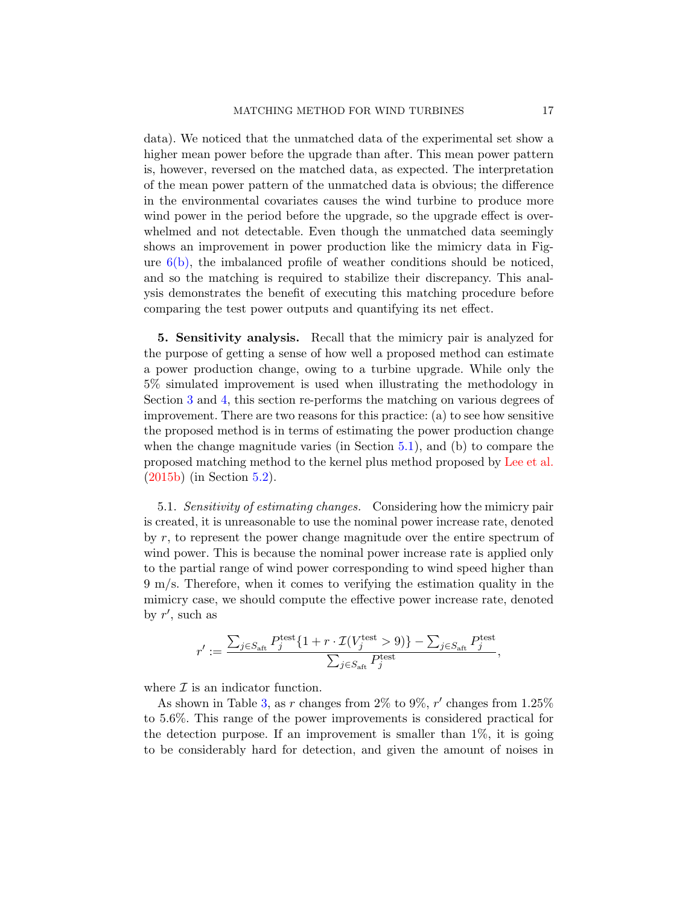data). We noticed that the unmatched data of the experimental set show a higher mean power before the upgrade than after. This mean power pattern is, however, reversed on the matched data, as expected. The interpretation of the mean power pattern of the unmatched data is obvious; the difference in the environmental covariates causes the wind turbine to produce more wind power in the period before the upgrade, so the upgrade effect is overwhelmed and not detectable. Even though the unmatched data seemingly shows an improvement in power production like the mimicry data in Figure  $6(b)$ , the imbalanced profile of weather conditions should be noticed, and so the matching is required to stabilize their discrepancy. This analysis demonstrates the benefit of executing this matching procedure before comparing the test power outputs and quantifying its net effect.

<span id="page-16-0"></span>5. Sensitivity analysis. Recall that the mimicry pair is analyzed for the purpose of getting a sense of how well a proposed method can estimate a power production change, owing to a turbine upgrade. While only the 5% simulated improvement is used when illustrating the methodology in Section [3](#page-7-0) and [4,](#page-13-0) this section re-performs the matching on various degrees of improvement. There are two reasons for this practice: (a) to see how sensitive the proposed method is in terms of estimating the power production change when the change magnitude varies (in Section [5.1\)](#page-16-1), and (b) to compare the proposed matching method to the kernel plus method proposed by [Lee et al.](#page-22-11) [\(2015b\)](#page-22-11) (in Section [5.2\)](#page-18-0).

<span id="page-16-1"></span>5.1. Sensitivity of estimating changes. Considering how the mimicry pair is created, it is unreasonable to use the nominal power increase rate, denoted by r, to represent the power change magnitude over the entire spectrum of wind power. This is because the nominal power increase rate is applied only to the partial range of wind power corresponding to wind speed higher than 9 m/s. Therefore, when it comes to verifying the estimation quality in the mimicry case, we should compute the effective power increase rate, denoted by  $r'$ , such as

$$
r':=\frac{\sum_{j\in S_{\mathrm{aft}}}P^{\mathrm{test}}_j\{1+r\cdot \mathcal{I}(V^{\mathrm{test}}_j>9)\}-\sum_{j\in S_{\mathrm{aft}}}P^{\mathrm{test}}_j}{\sum_{j\in S_{\mathrm{aft}}}P^{\mathrm{test}}_j},
$$

where  $\mathcal I$  is an indicator function.

As shown in Table [3,](#page-18-1) as r changes from 2% to 9%,  $r'$  changes from 1.25% to 5.6%. This range of the power improvements is considered practical for the detection purpose. If an improvement is smaller than  $1\%$ , it is going to be considerably hard for detection, and given the amount of noises in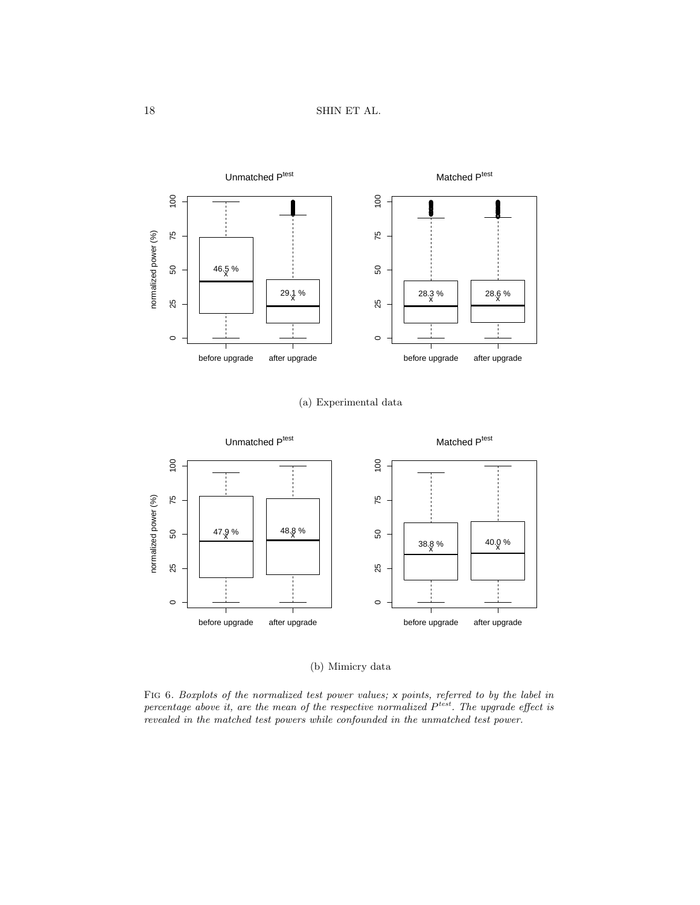<span id="page-17-0"></span>

# (a) Experimental data



# (b) Mimicry data

<span id="page-17-1"></span>FIG 6. Boxplots of the normalized test power values; x points, referred to by the label in percentage above it, are the mean of the respective normalized  $P^{test}$ . The upgrade effect is revealed in the matched test powers while confounded in the unmatched test power.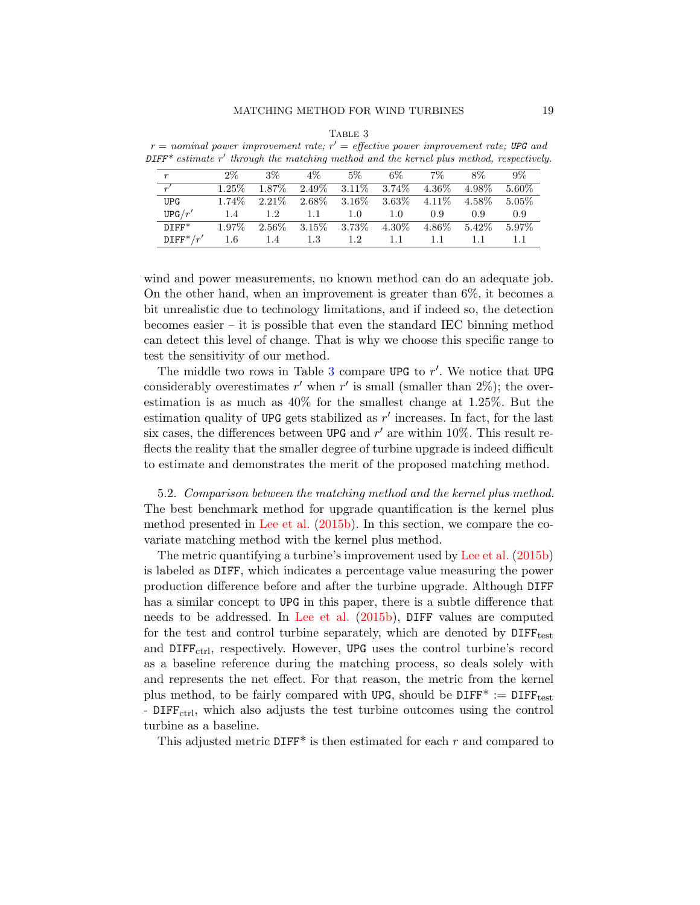|  | TABLE 3 |  |  |
|--|---------|--|--|
|  |         |  |  |

<span id="page-18-1"></span> $r =$  nominal power improvement rate;  $r' =$  effective power improvement rate; UPG and  $\text{DIFF}^*$  estimate r' through the matching method and the kernel plus method, respectively.

| $\boldsymbol{r}$     | $2\%$    | $3\%$    | 4%       | 5%                | $6\%$    | $7\%$    | $8\%$  | $9\%$    |
|----------------------|----------|----------|----------|-------------------|----------|----------|--------|----------|
| r'                   | $1.25\%$ | 1.87\%   | $2.49\%$ | $3.11\%$          | 3.74\%   | $4.36\%$ | 4.98%  | 5.60%    |
| <b>UPG</b>           | 1.74\%   | $2.21\%$ |          | $2.68\%$ $3.16\%$ | $3.63\%$ | $4.11\%$ | 4.58%  | $5.05\%$ |
| UPG/r'               | 1.4      | 1.2      | 1.1      | 1.0               | 1.0      | 0.9      | 0.9    | 0.9      |
| $DIFF*$              | $1.97\%$ | $2.56\%$ | $3.15\%$ | $3.73\%$          | 4.30\%   | 4.86\%   | 5.42\% | 5.97%    |
| $\mathrm{DIFF}^*/r'$ | $1.6\,$  | 1.4      | 1.3      | 1.2.              | 11       |          |        |          |

wind and power measurements, no known method can do an adequate job. On the other hand, when an improvement is greater than 6%, it becomes a bit unrealistic due to technology limitations, and if indeed so, the detection becomes easier – it is possible that even the standard IEC binning method can detect this level of change. That is why we choose this specific range to test the sensitivity of our method.

The middle two rows in Table [3](#page-18-1) compare UPG to  $r'$ . We notice that UPG considerably overestimates  $r'$  when  $r'$  is small (smaller than  $2\%$ ); the overestimation is as much as 40% for the smallest change at 1.25%. But the estimation quality of UPG gets stabilized as  $r'$  increases. In fact, for the last six cases, the differences between UPG and  $r'$  are within 10%. This result reflects the reality that the smaller degree of turbine upgrade is indeed difficult to estimate and demonstrates the merit of the proposed matching method.

<span id="page-18-0"></span>5.2. Comparison between the matching method and the kernel plus method. The best benchmark method for upgrade quantification is the kernel plus method presented in [Lee et al.](#page-22-11) [\(2015b\)](#page-22-11). In this section, we compare the covariate matching method with the kernel plus method.

The metric quantifying a turbine's improvement used by [Lee et al.](#page-22-11) [\(2015b\)](#page-22-11) is labeled as DIFF, which indicates a percentage value measuring the power production difference before and after the turbine upgrade. Although DIFF has a similar concept to UPG in this paper, there is a subtle difference that needs to be addressed. In [Lee et al.](#page-22-11) [\(2015b\)](#page-22-11), DIFF values are computed for the test and control turbine separately, which are denoted by  $\text{DIFF}_{\text{test}}$ and  $DIFF_{ctrl}$ , respectively. However, UPG uses the control turbine's record as a baseline reference during the matching process, so deals solely with and represents the net effect. For that reason, the metric from the kernel plus method, to be fairly compared with UPG, should be  $\text{DIFF}^* := \text{DIFF}_{\text{test}}$ - DIFF<sub>ctrl</sub>, which also adjusts the test turbine outcomes using the control turbine as a baseline.

This adjusted metric  $\text{DIFF}^*$  is then estimated for each r and compared to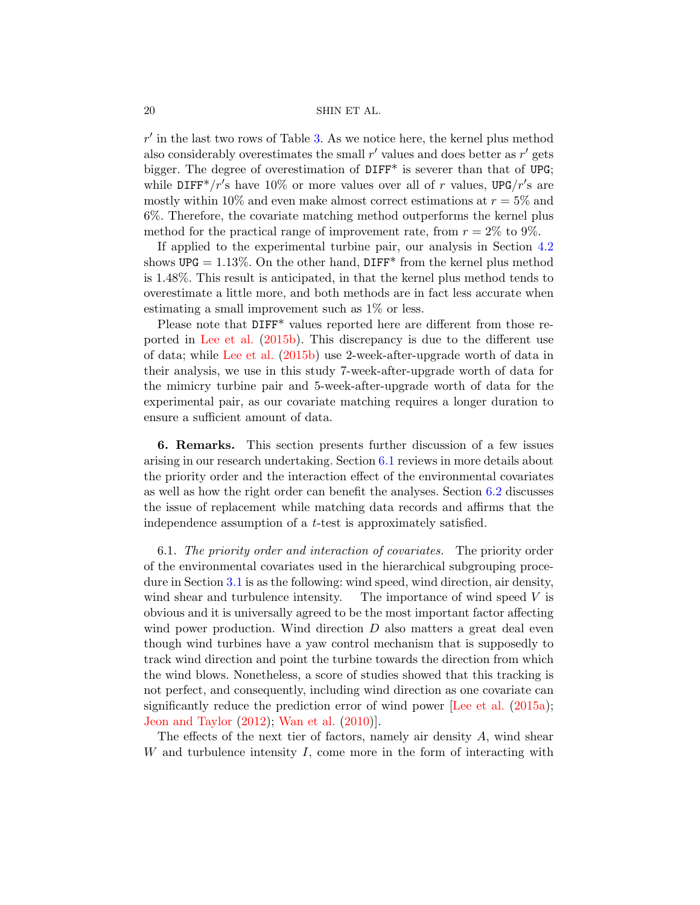$r'$  in the last two rows of Table [3.](#page-18-1) As we notice here, the kernel plus method also considerably overestimates the small  $r'$  values and does better as  $r'$  gets bigger. The degree of overestimation of DIFF<sup>\*</sup> is severer than that of UPG; while DIFF<sup>\*</sup>/ $r$ 's have 10% or more values over all of r values, UPG/ $r$ 's are mostly within 10% and even make almost correct estimations at  $r = 5\%$  and 6%. Therefore, the covariate matching method outperforms the kernel plus method for the practical range of improvement rate, from  $r = 2\%$  to 9%.

If applied to the experimental turbine pair, our analysis in Section [4.2](#page-15-1) shows UPG =  $1.13\%$ . On the other hand, DIFF<sup>\*</sup> from the kernel plus method is 1.48%. This result is anticipated, in that the kernel plus method tends to overestimate a little more, and both methods are in fact less accurate when estimating a small improvement such as 1% or less.

Please note that DIFF\* values reported here are different from those reported in [Lee et al.](#page-22-11) [\(2015b\)](#page-22-11). This discrepancy is due to the different use of data; while [Lee et al.](#page-22-11) [\(2015b\)](#page-22-11) use 2-week-after-upgrade worth of data in their analysis, we use in this study 7-week-after-upgrade worth of data for the mimicry turbine pair and 5-week-after-upgrade worth of data for the experimental pair, as our covariate matching requires a longer duration to ensure a sufficient amount of data.

<span id="page-19-0"></span>6. Remarks. This section presents further discussion of a few issues arising in our research undertaking. Section [6.1](#page-19-1) reviews in more details about the priority order and the interaction effect of the environmental covariates as well as how the right order can benefit the analyses. Section [6.2](#page-20-0) discusses the issue of replacement while matching data records and affirms that the independence assumption of a t-test is approximately satisfied.

<span id="page-19-1"></span>6.1. The priority order and interaction of covariates. The priority order of the environmental covariates used in the hierarchical subgrouping procedure in Section [3.1](#page-7-1) is as the following: wind speed, wind direction, air density, wind shear and turbulence intensity. The importance of wind speed  $V$  is obvious and it is universally agreed to be the most important factor affecting wind power production. Wind direction  $D$  also matters a great deal even though wind turbines have a yaw control mechanism that is supposedly to track wind direction and point the turbine towards the direction from which the wind blows. Nonetheless, a score of studies showed that this tracking is not perfect, and consequently, including wind direction as one covariate can significantly reduce the prediction error of wind power [\[Lee et al.](#page-22-10) [\(2015a\)](#page-22-10); [Jeon and Taylor](#page-22-9) [\(2012\)](#page-22-9); [Wan et al.](#page-23-3) [\(2010\)](#page-23-3)].

The effects of the next tier of factors, namely air density  $A$ , wind shear W and turbulence intensity  $I$ , come more in the form of interacting with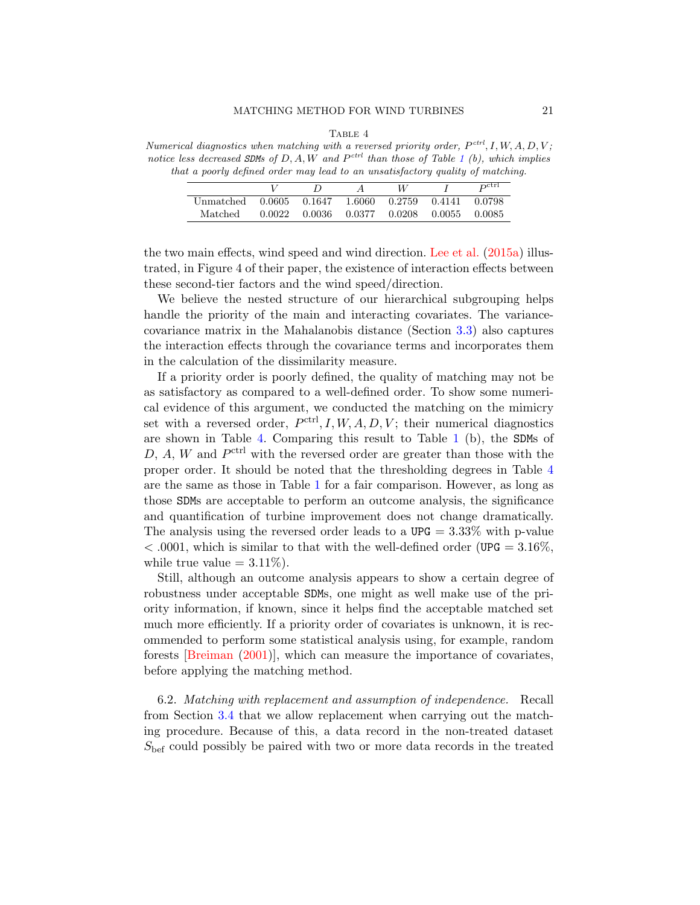## MATCHING METHOD FOR WIND TURBINES 21

TABLE 4

<span id="page-20-1"></span>Numerical diagnostics when matching with a reversed priority order,  $P^{ctrl}$ , I, W, A, D, V; notice less decreased SDMs of  $D, A, W$  and  $P^{ctrl}$  than those of Table [1](#page-13-1) (b), which implies that a poorly defined order may lead to an unsatisfactory quality of matching.

|           |        |                   |          |        |        | $P^{\text{ctrl}}$ |
|-----------|--------|-------------------|----------|--------|--------|-------------------|
| Unmatched |        | $0.0605$ $0.1647$ | - 1.6060 | 0.2759 | 0.4141 | በ በ798            |
| Matched   | 0.0022 | 0.0036            | 0.0377   | 0.0208 | 0.0055 | - 0.0085          |

the two main effects, wind speed and wind direction. [Lee et al.](#page-22-10) [\(2015a\)](#page-22-10) illustrated, in Figure 4 of their paper, the existence of interaction effects between these second-tier factors and the wind speed/direction.

We believe the nested structure of our hierarchical subgrouping helps handle the priority of the main and interacting covariates. The variancecovariance matrix in the Mahalanobis distance (Section [3.3\)](#page-10-1) also captures the interaction effects through the covariance terms and incorporates them in the calculation of the dissimilarity measure.

If a priority order is poorly defined, the quality of matching may not be as satisfactory as compared to a well-defined order. To show some numerical evidence of this argument, we conducted the matching on the mimicry set with a reversed order,  $P<sup>ctrl</sup>, I, W, A, D, V$ ; their numerical diagnostics are shown in Table [4.](#page-20-1) Comparing this result to Table [1](#page-13-1) (b), the SDMs of  $D, A, W$  and  $P^{\text{ctrl}}$  with the reversed order are greater than those with the proper order. It should be noted that the thresholding degrees in Table [4](#page-20-1) are the same as those in Table [1](#page-13-1) for a fair comparison. However, as long as those SDMs are acceptable to perform an outcome analysis, the significance and quantification of turbine improvement does not change dramatically. The analysis using the reversed order leads to a  $UPG = 3.33\%$  with p-value  $<$  0.001, which is similar to that with the well-defined order (UPG = 3.16\%). while true value  $= 3.11\%$ ).

Still, although an outcome analysis appears to show a certain degree of robustness under acceptable SDMs, one might as well make use of the priority information, if known, since it helps find the acceptable matched set much more efficiently. If a priority order of covariates is unknown, it is recommended to perform some statistical analysis using, for example, random forests [\[Breiman](#page-22-18) [\(2001\)](#page-22-18)], which can measure the importance of covariates, before applying the matching method.

<span id="page-20-0"></span>6.2. Matching with replacement and assumption of independence. Recall from Section [3.4](#page-11-0) that we allow replacement when carrying out the matching procedure. Because of this, a data record in the non-treated dataset  $S_{\text{bef}}$  could possibly be paired with two or more data records in the treated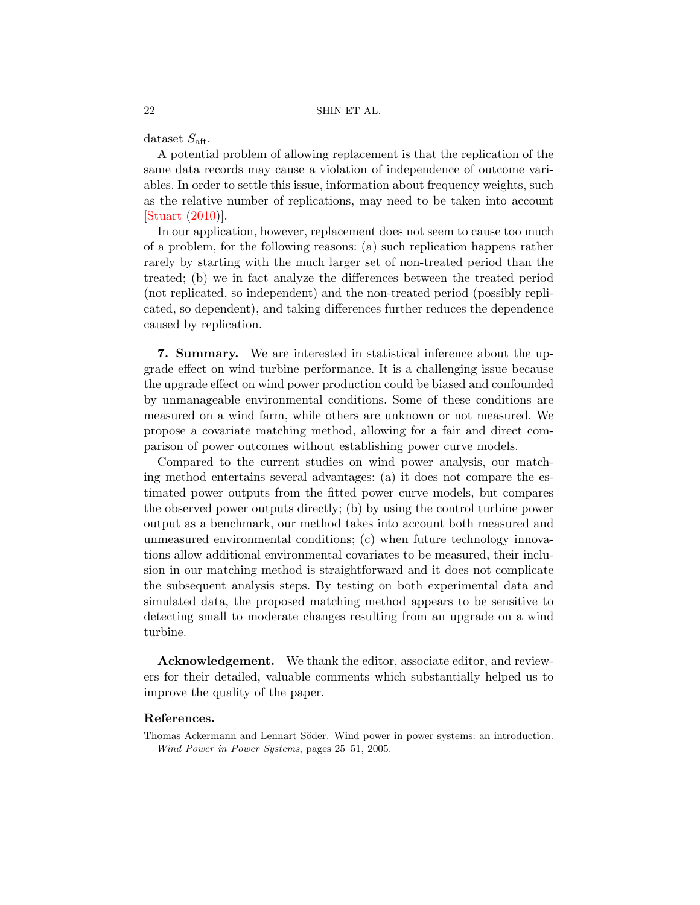dataset  $S_{\text{aft}}$ .

A potential problem of allowing replacement is that the replication of the same data records may cause a violation of independence of outcome variables. In order to settle this issue, information about frequency weights, such as the relative number of replications, may need to be taken into account [\[Stuart](#page-23-5) [\(2010\)](#page-23-5)].

In our application, however, replacement does not seem to cause too much of a problem, for the following reasons: (a) such replication happens rather rarely by starting with the much larger set of non-treated period than the treated; (b) we in fact analyze the differences between the treated period (not replicated, so independent) and the non-treated period (possibly replicated, so dependent), and taking differences further reduces the dependence caused by replication.

<span id="page-21-1"></span>7. Summary. We are interested in statistical inference about the upgrade effect on wind turbine performance. It is a challenging issue because the upgrade effect on wind power production could be biased and confounded by unmanageable environmental conditions. Some of these conditions are measured on a wind farm, while others are unknown or not measured. We propose a covariate matching method, allowing for a fair and direct comparison of power outcomes without establishing power curve models.

Compared to the current studies on wind power analysis, our matching method entertains several advantages: (a) it does not compare the estimated power outputs from the fitted power curve models, but compares the observed power outputs directly; (b) by using the control turbine power output as a benchmark, our method takes into account both measured and unmeasured environmental conditions; (c) when future technology innovations allow additional environmental covariates to be measured, their inclusion in our matching method is straightforward and it does not complicate the subsequent analysis steps. By testing on both experimental data and simulated data, the proposed matching method appears to be sensitive to detecting small to moderate changes resulting from an upgrade on a wind turbine.

Acknowledgement. We thank the editor, associate editor, and reviewers for their detailed, valuable comments which substantially helped us to improve the quality of the paper.

## References.

<span id="page-21-0"></span>Thomas Ackermann and Lennart Söder. Wind power in power systems: an introduction. Wind Power in Power Systems, pages 25–51, 2005.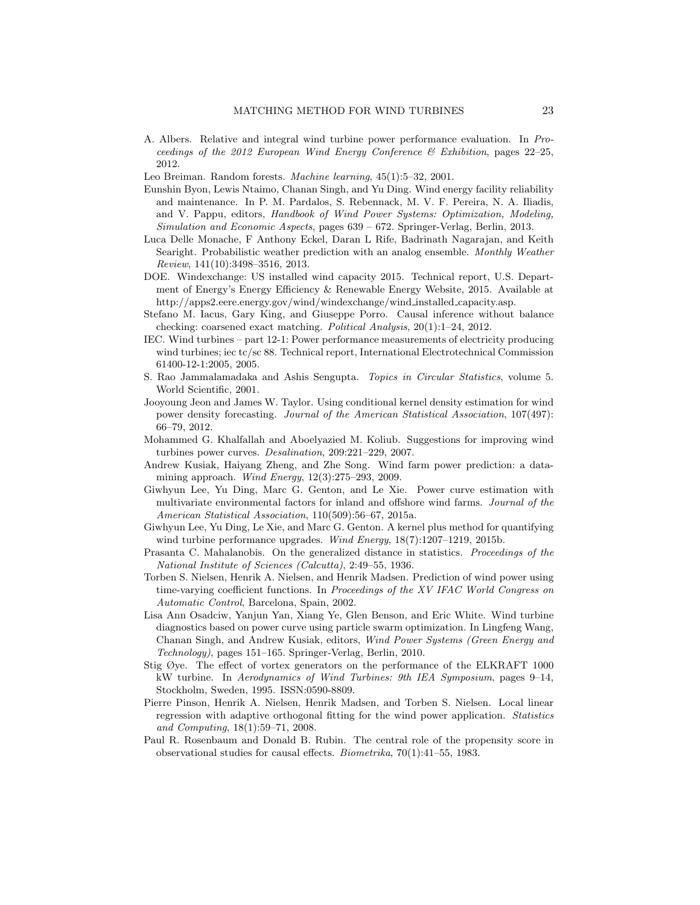- <span id="page-22-6"></span>A. Albers. Relative and integral wind turbine power performance evaluation. In Proceedings of the 2012 European Wind Energy Conference & Exhibition, pages 22–25, 2012.
- <span id="page-22-18"></span>Leo Breiman. Random forests. Machine learning, 45(1):5–32, 2001.
- <span id="page-22-1"></span>Eunshin Byon, Lewis Ntaimo, Chanan Singh, and Yu Ding. Wind energy facility reliability and maintenance. In P. M. Pardalos, S. Rebennack, M. V. F. Pereira, N. A. Iliadis, and V. Pappu, editors, Handbook of Wind Power Systems: Optimization, Modeling, Simulation and Economic Aspects, pages 639 – 672. Springer-Verlag, Berlin, 2013.
- <span id="page-22-13"></span>Luca Delle Monache, F Anthony Eckel, Daran L Rife, Badrinath Nagarajan, and Keith Searight. Probabilistic weather prediction with an analog ensemble. Monthly Weather Review, 141(10):3498–3516, 2013.
- <span id="page-22-0"></span>DOE. Windexchange: US installed wind capacity 2015. Technical report, U.S. Department of Energy's Energy Efficiency & Renewable Energy Website, 2015. Available at http://apps2.eere.energy.gov/wind/windexchange/wind installed capacity.asp.
- <span id="page-22-16"></span>Stefano M. Iacus, Gary King, and Giuseppe Porro. Causal inference without balance checking: coarsened exact matching. Political Analysis, 20(1):1–24, 2012.
- <span id="page-22-3"></span>IEC. Wind turbines – part 12-1: Power performance measurements of electricity producing wind turbines; iec tc/sc 88. Technical report, International Electrotechnical Commission 61400-12-1:2005, 2005.
- <span id="page-22-15"></span>S. Rao Jammalamadaka and Ashis Sengupta. Topics in Circular Statistics, volume 5. World Scientific, 2001.
- <span id="page-22-9"></span>Jooyoung Jeon and James W. Taylor. Using conditional kernel density estimation for wind power density forecasting. Journal of the American Statistical Association, 107(497): 66–79, 2012.
- <span id="page-22-2"></span>Mohammed G. Khalfallah and Aboelyazied M. Koliub. Suggestions for improving wind turbines power curves. Desalination, 209:221–229, 2007.
- <span id="page-22-4"></span>Andrew Kusiak, Haiyang Zheng, and Zhe Song. Wind farm power prediction: a datamining approach. Wind Energy, 12(3):275–293, 2009.
- <span id="page-22-10"></span>Giwhyun Lee, Yu Ding, Marc G. Genton, and Le Xie. Power curve estimation with multivariate environmental factors for inland and offshore wind farms. Journal of the American Statistical Association, 110(509):56–67, 2015a.
- <span id="page-22-11"></span>Giwhyun Lee, Yu Ding, Le Xie, and Marc G. Genton. A kernel plus method for quantifying wind turbine performance upgrades. Wind Energy,  $18(7):1207-1219$ ,  $2015b$ .
- <span id="page-22-12"></span>Prasanta C. Mahalanobis. On the generalized distance in statistics. Proceedings of the National Institute of Sciences (Calcutta), 2:49–55, 1936.
- <span id="page-22-7"></span>Torben S. Nielsen, Henrik A. Nielsen, and Henrik Madsen. Prediction of wind power using time-varying coefficient functions. In Proceedings of the XV IFAC World Congress on Automatic Control, Barcelona, Spain, 2002.
- <span id="page-22-5"></span>Lisa Ann Osadciw, Yanjun Yan, Xiang Ye, Glen Benson, and Eric White. Wind turbine diagnostics based on power curve using particle swarm optimization. In Lingfeng Wang, Chanan Singh, and Andrew Kusiak, editors, Wind Power Systems (Green Energy and Technology), pages 151–165. Springer-Verlag, Berlin, 2010.
- <span id="page-22-14"></span>Stig Øye. The effect of vortex generators on the performance of the ELKRAFT 1000 kW turbine. In Aerodynamics of Wind Turbines: 9th IEA Symposium, pages 9–14, Stockholm, Sweden, 1995. ISSN:0590-8809.
- <span id="page-22-8"></span>Pierre Pinson, Henrik A. Nielsen, Henrik Madsen, and Torben S. Nielsen. Local linear regression with adaptive orthogonal fitting for the wind power application. Statistics and Computing, 18(1):59–71, 2008.
- <span id="page-22-17"></span>Paul R. Rosenbaum and Donald B. Rubin. The central role of the propensity score in observational studies for causal effects. Biometrika, 70(1):41–55, 1983.